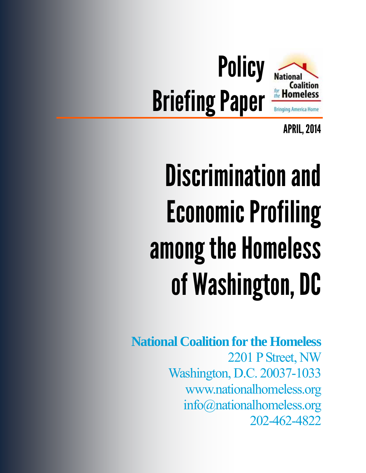

APRIL, 2014

# Discrimination and Economic Profiling among the Homeless of Washington, DC

**National Coalition for the Homeless**  2201 P Street, NW Washington, D.C. 20037-1033 www.nationalhomeless.org info@nationalhomeless.org 202-462-4822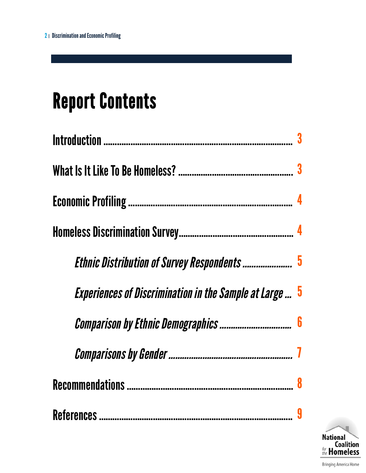# Report Contents

| Ethnic Distribution of Survey Respondents  5                   |  |
|----------------------------------------------------------------|--|
| <b>Experiences of Discrimination in the Sample at Large  5</b> |  |
|                                                                |  |
|                                                                |  |
|                                                                |  |
|                                                                |  |

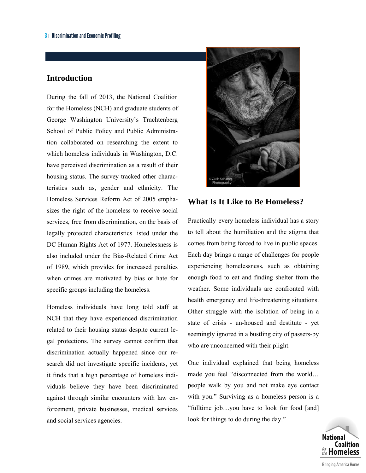#### **Introduction**

During the fall of 2013, the National Coalition for the Homeless (NCH) and graduate students of George Washington University's Trachtenberg School of Public Policy and Public Administration collaborated on researching the extent to which homeless individuals in Washington, D.C. have perceived discrimination as a result of their housing status. The survey tracked other characteristics such as, gender and ethnicity. The Homeless Services Reform Act of 2005 emphasizes the right of the homeless to receive social services, free from discrimination, on the basis of legally protected characteristics listed under the DC Human Rights Act of 1977. Homelessness is also included under the Bias-Related Crime Act of 1989, which provides for increased penalties when crimes are motivated by bias or hate for specific groups including the homeless.

Homeless individuals have long told staff at NCH that they have experienced discrimination related to their housing status despite current legal protections. The survey cannot confirm that discrimination actually happened since our research did not investigate specific incidents, yet it finds that a high percentage of homeless individuals believe they have been discriminated against through similar encounters with law enforcement, private businesses, medical services and social services agencies.



#### **What Is It Like to Be Homeless?**

Practically every homeless individual has a story to tell about the humiliation and the stigma that comes from being forced to live in public spaces. Each day brings a range of challenges for people experiencing homelessness, such as obtaining enough food to eat and finding shelter from the weather. Some individuals are confronted with health emergency and life-threatening situations. Other struggle with the isolation of being in a state of crisis - un-housed and destitute - yet seemingly ignored in a bustling city of passers-by who are unconcerned with their plight.

One individual explained that being homeless made you feel "disconnected from the world… people walk by you and not make eye contact with you." Surviving as a homeless person is a "fulltime job…you have to look for food [and] look for things to do during the day."

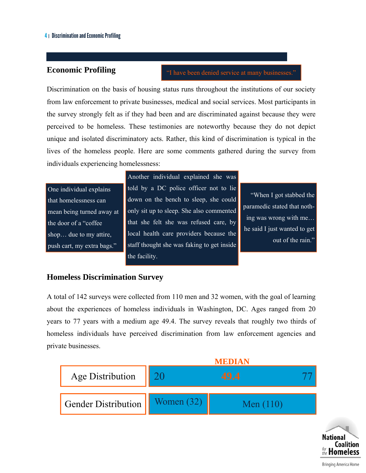#### **Economic Profiling**

"I have been denied service at many businesses."

Discrimination on the basis of housing status runs throughout the institutions of our society from law enforcement to private businesses, medical and social services. Most participants in the survey strongly felt as if they had been and are discriminated against because they were perceived to be homeless. These testimonies are noteworthy because they do not depict unique and isolated discriminatory acts. Rather, this kind of discrimination is typical in the lives of the homeless people. Here are some comments gathered during the survey from individuals experiencing homelessness:

One individual explains that homelessness can mean being turned away at the door of a "coffee shop… due to my attire, push cart, my extra bags."

Another individual explained she was told by a DC police officer not to lie down on the bench to sleep, she could only sit up to sleep. She also commented that she felt she was refused care, by local health care providers because the staff thought she was faking to get inside the facility.

"When I got stabbed the paramedic stated that nothing was wrong with me… he said I just wanted to get out of the rain."

#### **Homeless Discrimination Survey**

A total of 142 surveys were collected from 110 men and 32 women, with the goal of learning about the experiences of homeless individuals in Washington, DC. Ages ranged from 20 years to 77 years with a medium age 49.4. The survey reveals that roughly two thirds of homeless individuals have perceived discrimination from law enforcement agencies and private businesses.



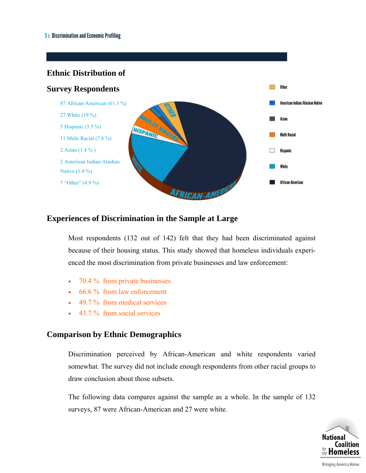#### **Ethnic Distribution of**



#### **Experiences of Discrimination in the Sample at Large**

Most respondents (132 out of 142) felt that they had been discriminated against because of their housing status. This study showed that homeless individuals experienced the most discrimination from private businesses and law enforcement:

- $\bullet$  70.4 % from private businesses
- 66.6 % from law enforcement
- 49.7 % from medical services
- 43.7 % from social services

#### **Comparison by Ethnic Demographics**

Discrimination perceived by African-American and white respondents varied somewhat. The survey did not include enough respondents from other racial groups to draw conclusion about those subsets.

The following data compares against the sample as a whole. In the sample of 132 surveys, 87 were African-American and 27 were white.



Bringing America Home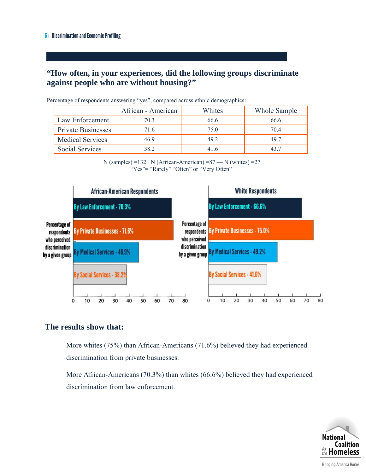## **"How often, in your experiences, did the following groups discriminate against people who are without housing?"**

|                           | African - American | Whites | Whole Sample |
|---------------------------|--------------------|--------|--------------|
| Law Enforcement           | 70.3               | 66.6   | 66.6         |
| <b>Private Businesses</b> | 716                | 75 Q   | 704          |
| <b>Medical Services</b>   | 46.9               | 49.2   | 49.7         |
| <b>Social Services</b>    | 38.2               |        |              |

Percentage of respondents answering "yes", compared across ethnic demographics:

N (samples) =132. N (African-American) =87 — N (whites) =27 "Yes"= "Rarely" "Often" or "Very Often"



#### **The results show that:**

More whites (75%) than African-Americans (71.6%) believed they had experienced discrimination from private businesses.

More African-Americans (70.3%) than whites (66.6%) believed they had experienced discrimination from law enforcement.

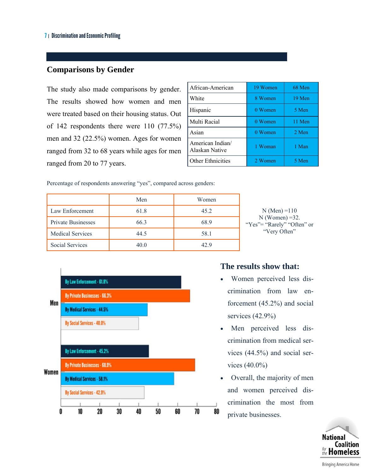### **Comparisons by Gender**

The study also made comparisons by gender. The results showed how women and men were treated based on their housing status. Out of 142 respondents there were 110 (77.5%) men and 32 (22.5%) women. Ages for women ranged from 32 to 68 years while ages for men ranged from 20 to 77 years.

| African-American                   | 19 Women | 68 Men |
|------------------------------------|----------|--------|
| White                              | 8 Women  | 19 Men |
| Hispanic                           | 0 Women  | 5 Men  |
| Multi Racial                       | 0 Women  | 11 Men |
| Asian                              | 0 Women  | 2 Men  |
| American Indian/<br>Alaskan Native | 1 Woman  | 1 Man  |
| <b>Other Ethnicities</b>           | 2 Women  | 5 Men  |

Percentage of respondents answering "yes", compared across genders:

|                         | Men  | Women |
|-------------------------|------|-------|
| Law Enforcement         | 61.8 | 45.2  |
| Private Businesses      | 66.3 | 68.9  |
| <b>Medical Services</b> | 44.5 | 58.1  |
| <b>Social Services</b>  | 40.0 | 42.9  |

 $N(Men) = 110$  $N$  (Women) =32. "Yes"= "Rarely" "Often" or "Very Often"



#### **The results show that:**

- Women perceived less discrimination from law enforcement (45.2%) and social services (42.9%)
- Men perceived less discrimination from medical services (44.5%) and social services (40.0%)
- Overall, the majority of men and women perceived discrimination the most from 80 private businesses.

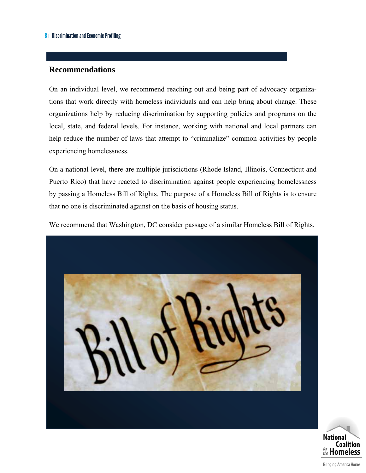#### **Recommendations**

On an individual level, we recommend reaching out and being part of advocacy organizations that work directly with homeless individuals and can help bring about change. These organizations help by reducing discrimination by supporting policies and programs on the local, state, and federal levels. For instance, working with national and local partners can help reduce the number of laws that attempt to "criminalize" common activities by people experiencing homelessness.

On a national level, there are multiple jurisdictions (Rhode Island, Illinois, Connecticut and Puerto Rico) that have reacted to discrimination against people experiencing homelessness by passing a Homeless Bill of Rights. The purpose of a Homeless Bill of Rights is to ensure that no one is discriminated against on the basis of housing status.

We recommend that Washington, DC consider passage of a similar Homeless Bill of Rights.





**Bringing America Home**